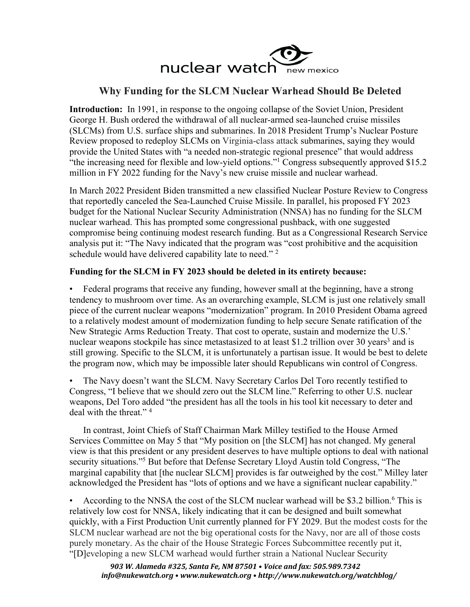

## **Why Funding for the SLCM Nuclear Warhead Should Be Deleted**

**Introduction:** In 1991, in response to the ongoing collapse of the Soviet Union, President George H. Bush ordered the withdrawal of all nuclear-armed sea-launched cruise missiles (SLCMs) from U.S. surface ships and submarines. In 2018 President Trump's Nuclear Posture Review proposed to redeploy SLCMs on Virginia-class attack submarines, saying they would provide the United States with "a needed non-strategic regional presence" that would address "the increasing need for flexible and low-yield options."1 Congress subsequently approved \$15.2 million in FY 2022 funding for the Navy's new cruise missile and nuclear warhead.

In March 2022 President Biden transmitted a new classified Nuclear Posture Review to Congress that reportedly canceled the Sea-Launched Cruise Missile. In parallel, his proposed FY 2023 budget for the National Nuclear Security Administration (NNSA) has no funding for the SLCM nuclear warhead. This has prompted some congressional pushback, with one suggested compromise being continuing modest research funding. But as a Congressional Research Service analysis put it: "The Navy indicated that the program was "cost prohibitive and the acquisition schedule would have delivered capability late to need."<sup>2</sup>

## **Funding for the SLCM in FY 2023 should be deleted in its entirety because:**

• Federal programs that receive any funding, however small at the beginning, have a strong tendency to mushroom over time. As an overarching example, SLCM is just one relatively small piece of the current nuclear weapons "modernization" program. In 2010 President Obama agreed to a relatively modest amount of modernization funding to help secure Senate ratification of the New Strategic Arms Reduction Treaty. That cost to operate, sustain and modernize the U.S.' nuclear weapons stockpile has since metastasized to at least \$1.2 trillion over 30 years<sup>3</sup> and is still growing. Specific to the SLCM, it is unfortunately a partisan issue. It would be best to delete the program now, which may be impossible later should Republicans win control of Congress.

• The Navy doesn't want the SLCM. Navy Secretary Carlos Del Toro recently testified to Congress, "I believe that we should zero out the SLCM line." Referring to other U.S. nuclear weapons, Del Toro added "the president has all the tools in his tool kit necessary to deter and deal with the threat." 4

In contrast, Joint Chiefs of Staff Chairman Mark Milley testified to the House Armed Services Committee on May 5 that "My position on [the SLCM] has not changed. My general view is that this president or any president deserves to have multiple options to deal with national security situations."5 But before that Defense Secretary Lloyd Austin told Congress, "The marginal capability that [the nuclear SLCM] provides is far outweighed by the cost." Milley later acknowledged the President has "lots of options and we have a significant nuclear capability."

According to the NNSA the cost of the SLCM nuclear warhead will be \$3.2 billion.<sup>6</sup> This is relatively low cost for NNSA, likely indicating that it can be designed and built somewhat quickly, with a First Production Unit currently planned for FY 2029. But the modest costs for the SLCM nuclear warhead are not the big operational costs for the Navy, nor are all of those costs purely monetary. As the chair of the House Strategic Forces Subcommittee recently put it, "[D]eveloping a new SLCM warhead would further strain a National Nuclear Security

*903 W. Alameda #325, Santa Fe, NM 87501 • Voice and fax: 505.989.7342 info@nukewatch.org • www.nukewatch.org • http://www.nukewatch.org/watchblog/*